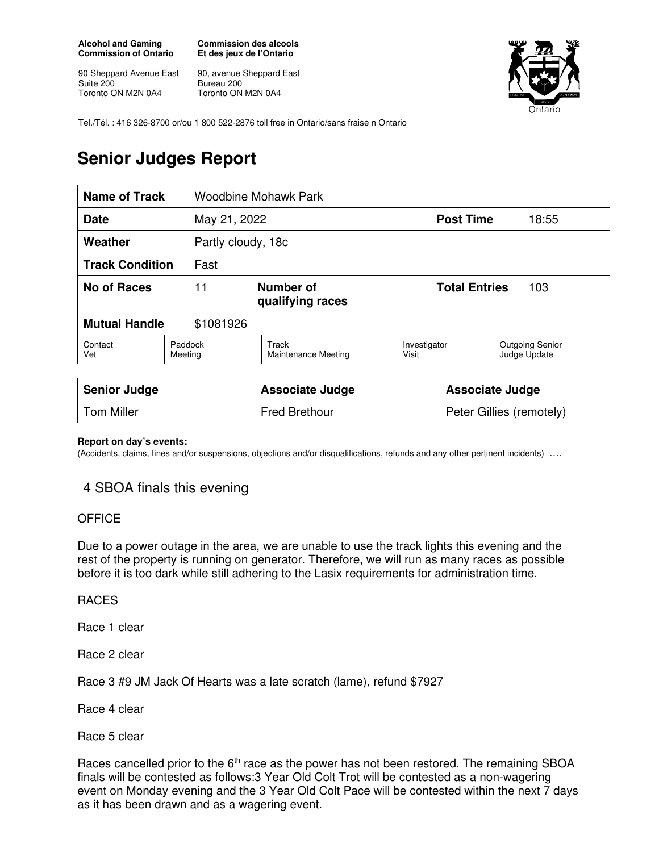**Alcohol and Gaming Commission of Ontario** 

90 Sheppard Avenue East Suite 200 Toronto ON M2N 0A4

**Commission des alcools Et des jeux de l'Ontario** 

90, avenue Sheppard East Bureau 200 Toronto ON M2N 0A4



Tel./Tél. : 416 326-8700 or/ou 1 800 522-2876 toll free in Ontario/sans fraise n Ontario

## **Senior Judges Report**

| <b>Name of Track</b>              |                    | <b>Woodbine Mohawk Park</b>                |                       |                             |                                        |
|-----------------------------------|--------------------|--------------------------------------------|-----------------------|-----------------------------|----------------------------------------|
| <b>Date</b><br>May 21, 2022       |                    |                                            |                       | <b>Post Time</b>            | 18:55                                  |
| Weather<br>Partly cloudy, 18c     |                    |                                            |                       |                             |                                        |
| <b>Track Condition</b><br>Fast    |                    |                                            |                       |                             |                                        |
| <b>No of Races</b>                | 11                 | Number of<br>qualifying races              |                       | <b>Total Entries</b><br>103 |                                        |
| <b>Mutual Handle</b><br>\$1081926 |                    |                                            |                       |                             |                                        |
| Contact<br>Vet                    | Paddock<br>Meeting | <b>Track</b><br><b>Maintenance Meeting</b> | Investigator<br>Visit |                             | <b>Outgoing Senior</b><br>Judge Update |
|                                   |                    |                                            |                       |                             |                                        |
| <b>Senior Judge</b>               |                    | <b>Associate Judge</b>                     |                       | <b>Associate Judge</b>      |                                        |
| <b>Tom Miller</b>                 |                    | <b>Fred Brethour</b>                       |                       | Peter Gillies (remotely)    |                                        |

**Report on day's events:** 

(Accidents, claims, fines and/or suspensions, objections and/or disqualifications, refunds and any other pertinent incidents)

## 4 SBOA finals this evening

## **OFFICE**

Due to a power outage in the area, we are unable to use the track lights this evening and the rest of the property is running on generator. Therefore, we will run as many races as possible before it is too dark while still adhering to the Lasix requirements for administration time.

## RACES

Race 1 clear

Race 2 clear

Race 3 #9 JM Jack Of Hearts was a late scratch (lame), refund \$7927

Race 4 clear

Race 5 clear

Races cancelled prior to the 6<sup>th</sup> race as the power has not been restored. The remaining SBOA finals will be contested as follows:3 Year Old Colt Trot will be contested as a non-wagering event on Monday evening and the 3 Year Old Colt Pace will be contested within the next 7 days as it has been drawn and as a wagering event.